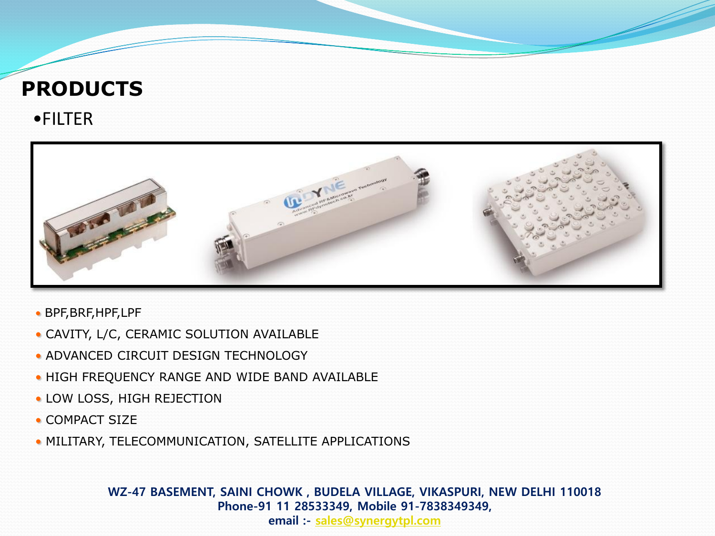# •FILTER **PRODUCTS**



- BPF,BRF,HPF,LPF
- CAVITY, L/C, CERAMIC SOLUTION AVAILABLE
- ADVANCED CIRCUIT DESIGN TECHNOLOGY
- HIGH FREQUENCY RANGE AND WIDE BAND AVAILABLE
- LOW LOSS, HIGH REJECTION
- COMPACT SIZE
- MILITARY, TELECOMMUNICATION, SATELLITE APPLICATIONS

**WZ-47 BASEMENT, SAINI CHOWK , BUDELA VILLAGE, VIKASPURI, NEW DELHI 110018 Phone-91 11 28533349, Mobile 91-7838349349,**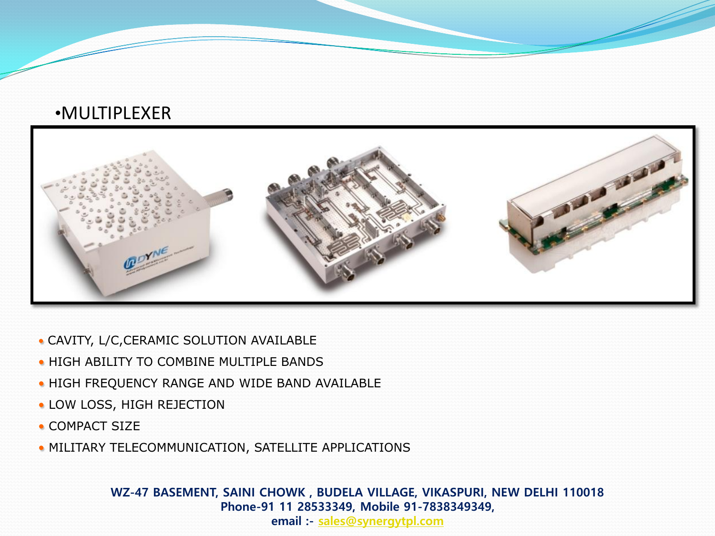## •MULTIPLEXER



- CAVITY, L/C,CERAMIC SOLUTION AVAILABLE
- HIGH ABILITY TO COMBINE MULTIPLE BANDS
- HIGH FREQUENCY RANGE AND WIDE BAND AVAILABLE
- LOW LOSS, HIGH REJECTION
- COMPACT SIZE
- MILITARY TELECOMMUNICATION, SATELLITE APPLICATIONS

**WZ-47 BASEMENT, SAINI CHOWK , BUDELA VILLAGE, VIKASPURI, NEW DELHI 110018 Phone-91 11 28533349, Mobile 91-7838349349,**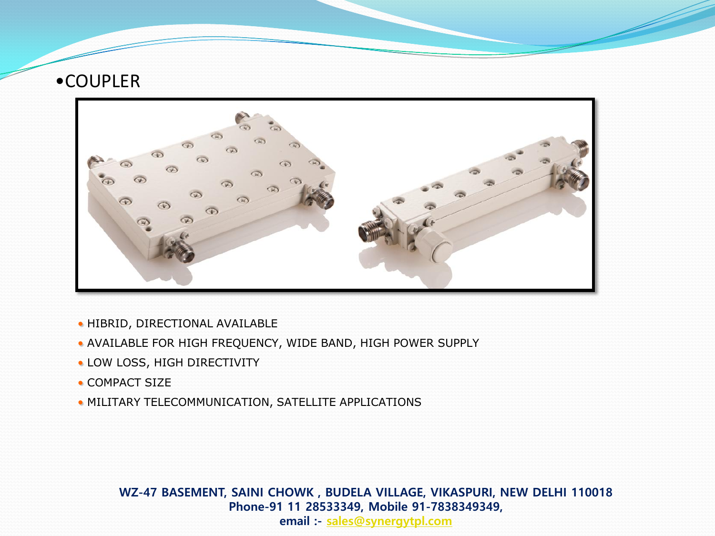## •COUPLER



- HIBRID, DIRECTIONAL AVAILABLE
- AVAILABLE FOR HIGH FREQUENCY, WIDE BAND, HIGH POWER SUPPLY
- LOW LOSS, HIGH DIRECTIVITY
- COMPACT SIZE
- MILITARY TELECOMMUNICATION, SATELLITE APPLICATIONS

**WZ-47 BASEMENT, SAINI CHOWK , BUDELA VILLAGE, VIKASPURI, NEW DELHI 110018 Phone-91 11 28533349, Mobile 91-7838349349,**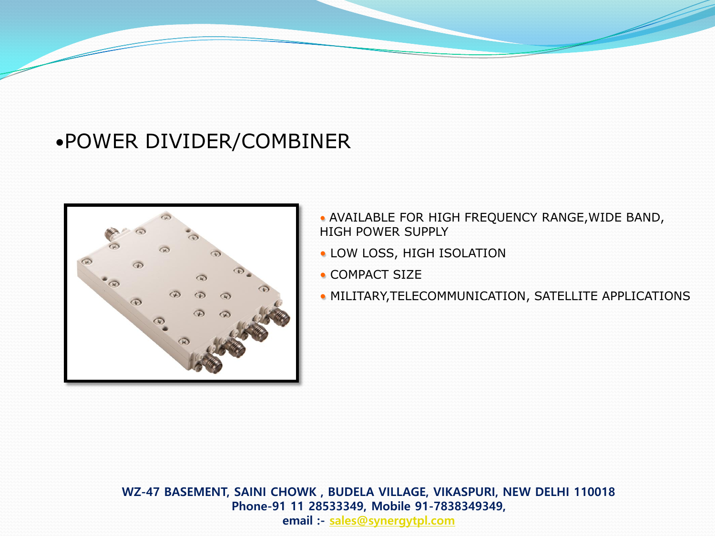# •POWER DIVIDER/COMBINER



- AVAILABLE FOR HIGH FREQUENCY RANGE,WIDE BAND, HIGH POWER SUPPLY
- LOW LOSS, HIGH ISOLATION
- COMPACT SIZE
- MILITARY,TELECOMMUNICATION, SATELLITE APPLICATIONS

**WZ-47 BASEMENT, SAINI CHOWK , BUDELA VILLAGE, VIKASPURI, NEW DELHI 110018 Phone-91 11 28533349, Mobile 91-7838349349, email :- [sales@synergytpl.com](mailto:sales@synergytpl.com)**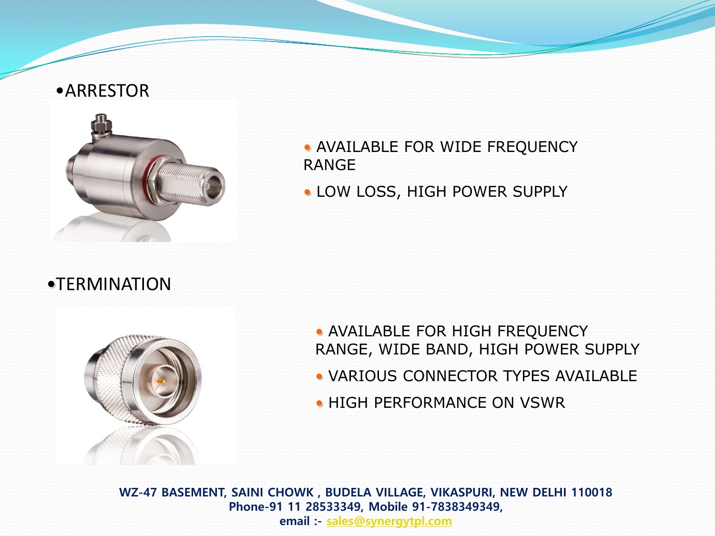#### •ARRESTOR



- AVAILABLE FOR WIDE FREQUENCY RANGE
- LOW LOSS, HIGH POWER SUPPLY

## •TERMINATION



- AVAILABLE FOR HIGH FREQUENCY RANGE, WIDE BAND, HIGH POWER SUPPLY • VARIOUS CONNECTOR TYPES AVAILABLE
- HIGH PERFORMANCE ON VSWR

**WZ-47 BASEMENT, SAINI CHOWK , BUDELA VILLAGE, VIKASPURI, NEW DELHI 110018 Phone-91 11 28533349, Mobile 91-7838349349, email :- [sales@synergytpl.com](mailto:sales@synergytpl.com)**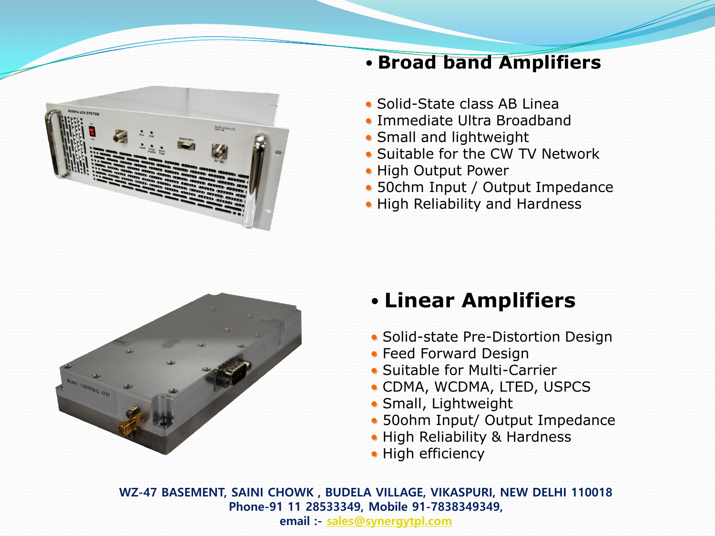

## • **Broad band Amplifiers**

- Solid-State class AB Linea
- Immediate Ultra Broadband
- Small and lightweight
- Suitable for the CW TV Network
- High Output Power
- 50chm Input / Output Impedance
- High Reliability and Hardness



# • **Linear Amplifiers**

- Solid-state Pre-Distortion Design
- Feed Forward Design
- Suitable for Multi-Carrier
- CDMA, WCDMA, LTED, USPCS
- Small, Lightweight
- 50ohm Input/ Output Impedance
- High Reliability & Hardness
- High efficiency

**WZ-47 BASEMENT, SAINI CHOWK , BUDELA VILLAGE, VIKASPURI, NEW DELHI 110018 Phone-91 11 28533349, Mobile 91-7838349349,**